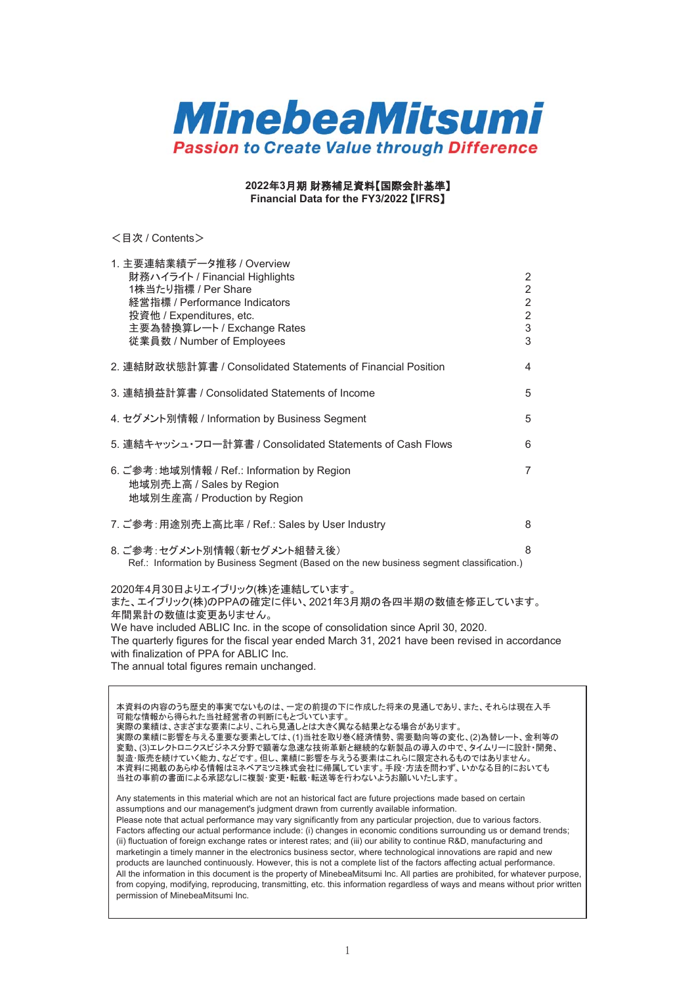

2022年3月期 財務補足資料【国際会計基準】

**Financial Data for the FY3/2022 [IFRS]** 

< 目次 / Contents>

| 1. 主要連結業績データ推移 / Overview                                                                                |                |
|----------------------------------------------------------------------------------------------------------|----------------|
| 財務ハイライト / Financial Highlights                                                                           | 2              |
| 1株当たり指標 / Per Share                                                                                      | $\overline{2}$ |
| 経営指標 / Performance Indicators                                                                            | $\overline{2}$ |
| 投資他 / Expenditures, etc.                                                                                 | $\overline{c}$ |
| 主要為替換算レート / Exchange Rates                                                                               | 3              |
| 従業員数 / Number of Employees                                                                               | 3              |
| 2. 連結財政状態計算書 / Consolidated Statements of Financial Position                                             | 4              |
| 3. 連結損益計算書 / Consolidated Statements of Income                                                           | 5              |
| 4. セグメント別情報 / Information by Business Segment                                                            | 5              |
| 5. 連結キャッシュ・フロー計算書 / Consolidated Statements of Cash Flows                                                | 6              |
| 6. ご参考: 地域別情報 / Ref.: Information by Region<br>地域別売上高 / Sales by Region<br>地域別生産高 / Production by Region | $\overline{7}$ |
| 7. ご参考: 用途別売上高比率 / Ref.: Sales by User Industry                                                          | 8              |
| 8. ご参考:セグメント別情報(新セグメント組替え後)                                                                              | 8              |
| Ref.: Information by Business Segment (Based on the new business segment classification.)                |                |
| 2020年4月30日よりエイブリック(株)を連結しています。                                                                           |                |
| また、エイブリック(株)のPPAの確定に伴い、2021年3月期の各四半期の数値を修正しています。<br>年間累計の数値は変更ありません。                                     |                |
| We have included ABLIC Inc. in the scope of consolidation since April 30, 2020.                          |                |
| The quarterly figures for the fiscal year ended March 31, 2021 have been revised in accordance           |                |
| with finalization of PPA for ABLIC Inc.                                                                  |                |

The annual total figures remain unchanged.

本資料の内容のうち歴史的事実でないものは、一定の前提の下に作成した将来の見通しであり、また、それらは現在入手 可能な情報から得られた当社経営者の判断にもとづいています。 実際の業績は、さまざまな要素により、これら見通しとは大きく異なる結果となる場合があります。 䚷ᐇ㝿䛾ᴗ⦼䛻ᙳ㡪䜢䛘䜛㔜せ䛺せ⣲䛸䛧䛶䛿䚸(1)ᙜ♫䜢ྲྀ䜚ᕳ䛟⤒῭ໃ䚸㟂せືྥ➼䛾ኚ䚸(2)Ⅽ᭰䝺䞊䝖䚸㔠➼䛾 変動、(3)エレクトロニクスビジネス分野で顕著な急速な技術革新と継続的な新製品の導入の中で、タイムリーに設計・開発、 製造・販売を続けていく能力、などです。但し、業績に影響を与えうる要素はこれらに限定されるものではありません。 本資料に掲載のあらゆる情報はミネベアミツミ株式会社に帰属しています。手段・方法を問わず、いかなる目的においても 当社の事前の書面による承認なしに複製・変更・転載・転送等を行わないようお願いいたします。

Any statements in this material which are not an historical fact are future projections made based on certain assumptions and our management's judgment drawn from currently available information. Please note that actual performance may vary significantly from any particular projection, due to various factors. Factors affecting our actual performance include: (i) changes in economic conditions surrounding us or demand trends; (ii) fluctuation of foreign exchange rates or interest rates; and (iii) our ability to continue R&D, manufacturing and marketingin a timely manner in the electronics business sector, where technological innovations are rapid and new products are launched continuously. However, this is not a complete list of the factors affecting actual performance. All the information in this document is the property of MinebeaMitsumi Inc. All parties are prohibited, for whatever purpose, from copying, modifying, reproducing, transmitting, etc. this information regardless of ways and means without prior written permission of MinebeaMitsumi Inc.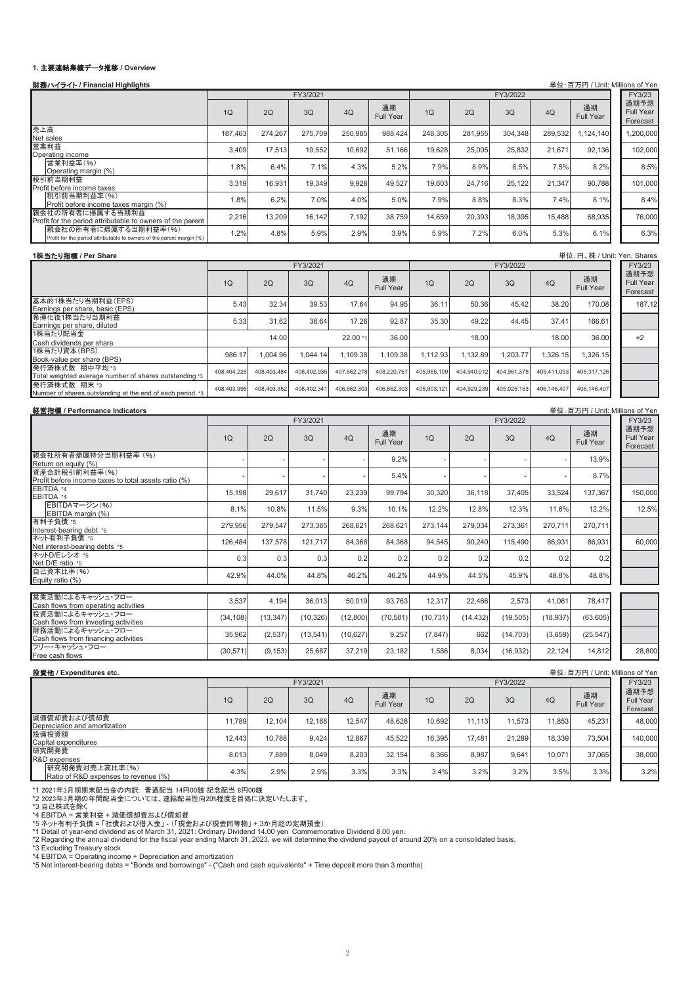## 1. 主要連結業績データ推移 / Overview

| 財務ハイライト / Financial Highlights                                                                |             |             |             |             |                        |             |             |             |             |                        | 単位:百万円 / Unit: Millions of Yen        |
|-----------------------------------------------------------------------------------------------|-------------|-------------|-------------|-------------|------------------------|-------------|-------------|-------------|-------------|------------------------|---------------------------------------|
|                                                                                               |             |             | FY3/2021    |             |                        |             |             | FY3/2022    |             |                        | FY3/23                                |
|                                                                                               | 1Q          | 2Q          | 3Q          | 4Q          | 通期<br><b>Full Year</b> | 1Q          | 2Q          | 3Q          | 4Q          | 通期<br>Full Year        | 通期予想<br><b>Full Year</b><br>Forecast  |
| 売上高<br>Net sales                                                                              | 187,463     | 274,267     | 275,709     | 250,985     | 988,424                | 248,305     | 281,955     | 304,348     | 289,532     | 1,124,140              | 1,200,000                             |
| 営業利益<br>Operating income                                                                      | 3,409       | 17,513      | 19,552      | 10,692      | 51,166                 | 19,628      | 25,005      | 25,832      | 21,671      | 92,136                 | 102,000                               |
| 営業利益率(%)<br>Operating margin (%)                                                              | 1.8%        | 6.4%        | 7.1%        | 4.3%        | 5.2%                   | 7.9%        | 8.9%        | 8.5%        | 7.5%        | 8.2%                   | 8.5%                                  |
| 税引前当期利益                                                                                       | 3,319       | 16,931      | 19,349      | 9,928       | 49,527                 | 19,603      | 24,716      | 25,122      | 21,347      | 90,788                 | 101,000                               |
| Profit before income taxes<br>税引前当期利益率(%)<br>Profit before income taxes margin (%)            | 1.8%        | 6.2%        | 7.0%        | 4.0%        | 5.0%                   | 7.9%        | 8.8%        | 8.3%        | 7.4%        | 8.1%                   | 8.4%                                  |
| 親会社の所有者に帰属する当期利益<br>Profit for the period attributable to owners of the parent                | 2,216       | 13,209      | 16,142      | 7,192       | 38,759                 | 14,659      | 20,393      | 18,395      | 15,488      | 68,935                 | 76,000                                |
| 親会社の所有者に帰属する当期利益率(%)<br>Profit for the period attributable to owners of the parent margin (%) | 1.2%        | 4.8%        | 5.9%        | 2.9%        | 3.9%                   | 5.9%        | 7.2%        | 6.0%        | 5.3%        | 6.1%                   | 6.3%                                  |
|                                                                                               |             |             |             |             |                        |             |             |             |             |                        |                                       |
| 1株当たり指標 / Per Share                                                                           |             |             | FY3/2021    |             |                        |             |             | FY3/2022    |             |                        | 単位: 円、株 / Unit: Yen, Shares<br>FY3/23 |
|                                                                                               | 1Q          | 2Q          | 3Q          | 4Q          | 通期<br><b>Full Year</b> | 1Q          | 2Q          | 3Q          | 4Q          | 通期<br>Full Year        | 通期予想<br><b>Full Year</b>              |
| 基本的1株当たり当期利益(EPS)                                                                             | 5.43        | 32.34       | 39.53       | 17.64       | 94.95                  | 36.11       | 50.36       | 45.42       | 38.20       | 170.08                 | Forecast<br>187.12                    |
| Earnings per share, basic (EPS)<br>希薄化後1株当たり当期利益                                              | 5.33        | 31.62       | 38.64       | 17.26       | 92.87                  | 35.30       | 49.22       | 44.45       | 37.41       | 166.61                 |                                       |
| Earnings per share, diluted<br>1株当たり配当金                                                       |             | 14.00       |             | 22.00 *1    | 36.00                  |             | 18.00       |             | 18.00       | 36.00                  | *2                                    |
| Cash dividends per share<br>1株当たり資本(BPS)                                                      |             |             |             |             |                        |             |             |             |             |                        |                                       |
| Book-value per share (BPS)<br>発行済株式数 期中平均*3                                                   | 986.17      | 1,004.96    | 1,044.14    | 1,109.38    | 1,109.38               | 1,112.93    | 1,132.89    | 1,203.77    | 1,326.15    | 1,326.15               |                                       |
| Total weighted average number of shares outstanding *3                                        | 408,404,225 | 408,403,484 | 408,402,935 | 407,662,278 | 408,220,767            | 405,965,109 | 404,940,012 | 404,961,378 | 405,411,093 | 405,317,126            |                                       |
| 発行済株式数 期末 *3<br>Number of shares outstanding at the end of each period *3                     | 408,403,995 | 408,403,352 | 408,402,341 | 406,662,303 | 406,662,303            | 405,903,121 | 404,929,239 | 405,025,153 | 406,146,407 | 406,146,407            |                                       |
| 経営指標 / Performance Indicators                                                                 |             |             |             |             |                        |             |             |             |             |                        | 単位:百万円 / Unit: Millions of Yen        |
|                                                                                               |             |             | FY3/2021    |             |                        |             |             | FY3/2022    |             |                        | FY3/23<br>通期予想                        |
|                                                                                               | 1Q          | 2Q          | 3Q          | 4Q          | 通期<br><b>Full Year</b> | 1Q          | 2Q          | 3Q          | 4Q          | 通期<br><b>Full Year</b> | <b>Full Year</b><br>Forecast          |
| 親会社所有者帰属持分当期利益率 (%)<br>Return on equity (%)                                                   |             |             |             |             | 9.2%                   |             |             |             |             | 13.9%                  |                                       |
| 資産合計税引前利益率(%)<br>Profit before income taxes to total assets ratio (%)                         |             |             |             |             | 5.4%                   |             |             |             |             | 8.7%                   |                                       |
| EBITDA *4<br>EBITDA *4                                                                        | 15,198      | 29,617      | 31,740      | 23,239      | 99,794                 | 30,320      | 36,118      | 37,405      | 33,524      | 137,367                | 150,000                               |
| EBITDAマージン(%)<br>EBITDA margin (%)                                                            | 8.1%        | 10.8%       | 11.5%       | 9.3%        | 10.1%                  | 12.2%       | 12.8%       | 12.3%       | 11.6%       | 12.2%                  | 12.5%                                 |
| 有利子負債 *5<br>Interest-bearing debt *5                                                          | 279,956     | 279,547     | 273,385     | 268,621     | 268,621                | 273,144     | 279,034     | 273,361     | 270,711     | 270,711                |                                       |
| ネット有利子負債 *5<br>Net interest-bearing debts *5                                                  | 126,484     | 137,578     | 121,717     | 84,368      | 84,368                 | 94,545      | 90,240      | 115,490     | 86,931      | 86,931                 | 60,000                                |
| ネットD/Eレシオ *5<br>Net D/E ratio *5                                                              | 0.3         | 0.3         | 0.3         | 0.2         | 0.2                    | 0.2         | 0.2         | 0.2         | 0.2         | 0.2                    |                                       |
| 自己資本比率(%)<br>Equity ratio (%)                                                                 | 42.9%       | 44.0%       | 44.8%       | 46.2%       | 46.2%                  | 44.9%       | 44.5%       | 45.9%       | 48.8%       | 48.8%                  |                                       |
| 営業活動によるキャッシュ・フロー                                                                              | 3,537       | 4,194       | 36.013      | 50,019      | 93,763                 | 12,317      | 22,466      | 2,573       | 41,061      | 78,417                 |                                       |
| Cash flows from operating activities<br>投資活動によるキャッシュ・フロー                                      | (34, 108)   | (13, 347)   | (10, 326)   | (12,800)    | (70, 581)              | (10, 731)   | (14, 432)   | (19, 505)   | (18, 937)   | (63, 605)              |                                       |
| Cash flows from investing activities<br>財務活動によるキャッシュ・フロー                                      | 35,962      | (2,537)     | (13, 541)   | (10, 627)   | 9,257                  | (7, 847)    | 662         | (14, 703)   | (3,659)     | (25, 547)              |                                       |
| Cash flows from financing activities<br>フリー・キャッシュ・フロー                                         | (30, 571)   | (9, 153)    | 25.687      | 37,219      | 23,182                 | 1,586       | 8.034       | (16, 932)   | 22,124      | 14,812                 | 28,800                                |
| Free cash flows                                                                               |             |             |             |             |                        |             |             |             |             |                        |                                       |
| 投資他 / Expenditures etc.                                                                       |             |             |             |             |                        |             |             |             |             |                        | 単位:百万円 / Unit: Millions of Yen        |

|                                                        |        |        | FY3/2021 |        |                 |        |        | FY3/2022 |        |                        | FY3/23                        |
|--------------------------------------------------------|--------|--------|----------|--------|-----------------|--------|--------|----------|--------|------------------------|-------------------------------|
|                                                        | 1Q     | 2Q     | 3Q       | 4Q     | 通期<br>Full Year | 1Q     | 2Q     | 3Q       | 4Q     | 通期<br><b>Full Year</b> | 通期予想<br>Full Year<br>Forecast |
| 減価償却費および償却費<br>Depreciation and amortization           | 11.789 | 12.104 | 12.188   | 12.547 | 48.628          | 10.692 | 11.113 | 11.573   | 11.853 | 45.231                 | 48,000                        |
| 設備投資額<br>Capital expenditures                          | 12.443 | 10.788 | 9,424    | 12.867 | 45.522          | 16.395 | 17.481 | 21.289   | 18.339 | 73,504                 | 140,000                       |
| 研究開発費<br>R&D expenses                                  | 8.013  | 7.889  | 8.049    | 8.203  | 32.154          | 8.366  | 8.987  | 9.641    | 10,071 | 37.065                 | 38,000                        |
| 研究開発費対売上高比率(%)<br>Ratio of R&D expenses to revenue (%) | 4.3%   | 2.9%   | 2.9%     | 3.3%   | 3.3%            | 3.4%   | 3.2%   | 3.2%     | 3.5%   | 3.3%                   | 3.2%                          |

\*1 2021年3月期期末配当金の内訳:普通配当 14円00銭 記念配当 8円00銭<br>\*2 2023年3月期の年間配当金については、連結配当性向20%程度を目処に決定いたします。

\*3 自己株式を除く<br>\*4 EBITDA = 営業利益 + 減価償却費および償却費<br>\*1 Detail of អ子負債 = 「社債および借入金」-(「現金および現金同等物」 + 3か月超の定期預金)<br>\*1 Detail of year-end dividend as of March 31, 2021: Ordinary Dividend 14.00 yen Commemorative Dividend 8.00 yen.

\*2 Regarding the annual dividend for the fiscal year ending March 31, 2023, we will determine the dividend payout of around 20% on a consolidated basis.

\*3 Excluding Treasury stock<br>\*4 EBITDA = Operating income + Depreciation and amortization<br>\*5 Net interest-bearing debts = "Bonds and borrowings" - ("Cash and cash equivalents" + Time deposit more than 3 months)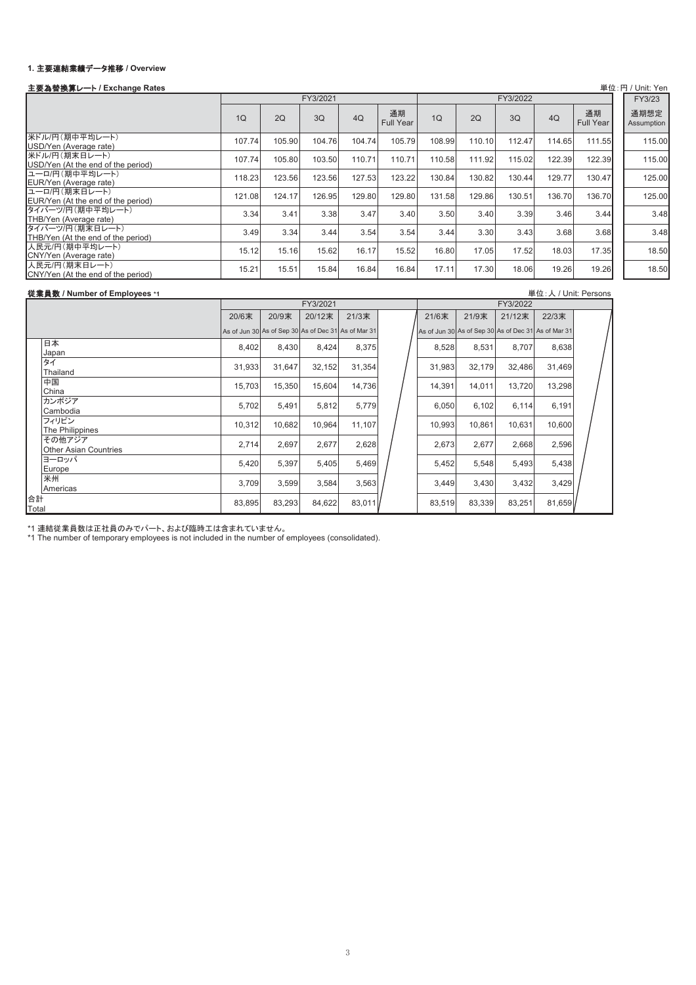### 1. 主要連結業績データ推移 / Overview

# せⅭ᭰⟬䝺䞊䝖 **/ Exchange Rates** ༢䠖 / Unit: Yen

| 工安荷目茨弄レー!'/ LAChange Rates                            |                |        |          |        |                        |        |        |          |        |                        | $+12.1$ J / $+10.11$ |
|-------------------------------------------------------|----------------|--------|----------|--------|------------------------|--------|--------|----------|--------|------------------------|----------------------|
|                                                       |                |        | FY3/2021 |        |                        |        |        | FY3/2022 |        |                        | FY3/23               |
|                                                       | 1 <sub>O</sub> | 2Q     | 3Q       | 4Q     | 通期<br><b>Full Year</b> | 1Q     | 2Q     | 3O       | 4Q     | 通期<br><b>Full Year</b> | 通期想定<br>Assumption   |
| 米ドル/円(期中平均レート)<br>USD/Yen (Average rate)              | 107.74         | 105.90 | 104.76   | 104.74 | 105.79                 | 108.99 | 110.10 | 112.47   | 114.65 | 111.55                 | 115.00               |
| 米ドル/円(期末日レート)<br>USD/Yen (At the end of the period)   | 107.74         | 105.80 | 103.50   | 110.71 | 110.71                 | 110.58 | 111.92 | 115.02   | 122.39 | 122.39                 | 115.00               |
| ユーロ/円(期中平均レート)<br>EUR/Yen (Average rate)              | 118.23         | 123.56 | 123.56   | 127.53 | 123.22                 | 130.84 | 130.82 | 130.44   | 129.77 | 130.47                 | 125.00               |
| ユーロ/円(期末日レート)<br>EUR/Yen (At the end of the period)   | 121.08         | 124.17 | 126.95   | 129.80 | 129.80                 | 131.58 | 129.86 | 130.51   | 136.70 | 136.70                 | 125.00               |
| タイバーツ/円(期中平均レート)<br>THB/Yen (Average rate)            | 3.34           | 3.41   | 3.38     | 3.47   | 3.40                   | 3.50   | 3.40   | 3.39     | 3.46   | 3.44                   | 3.48                 |
| タイバーツ/円(期末日レート)<br>THB/Yen (At the end of the period) | 3.49           | 3.34   | 3.44     | 3.54   | 3.54                   | 3.44   | 3.30   | 3.43     | 3.68   | 3.68                   | 3.48                 |
| 人民元/円(期中平均レート)<br>CNY/Yen (Average rate)              | 15.12          | 15.16  | 15.62    | 16.17  | 15.52                  | 16.80  | 17.05  | 17.52    | 18.03  | 17.35                  | 18.50                |
| 人民元/円(期末日レート)<br>CNY/Yen (At the end of the period)   | 15.21          | 15.51  | 15.84    | 16.84  | 16.84                  | 17.11  | 17.30  | 18.06    | 19.26  | 19.26                  | 18.50                |

### ᚑᴗဨᩘ **/ Number of Employees \*1** ༢䠖ே / Unit: Persons

|                                        | FY3/2021 |                                                     |        |        |  |        |                                                     | FY3/2022 |        |  |
|----------------------------------------|----------|-----------------------------------------------------|--------|--------|--|--------|-----------------------------------------------------|----------|--------|--|
|                                        | 20/6末    | 20/9末                                               | 20/12末 | 21/3末  |  | 21/6末  | 21/9末                                               | 21/12末   | 22/3末  |  |
|                                        |          | As of Jun 30 As of Sep 30 As of Dec 31 As of Mar 31 |        |        |  |        | As of Jun 30 As of Sep 30 As of Dec 31 As of Mar 31 |          |        |  |
| 日本<br>Japan                            | 8,402    | 8,430                                               | 8,424  | 8,375  |  | 8,528  | 8,531                                               | 8,707    | 8,638  |  |
| タイ<br>Thailand                         | 31,933   | 31,647                                              | 32,152 | 31,354 |  | 31,983 | 32,179                                              | 32,486   | 31,469 |  |
| 中国<br>China                            | 15,703   | 15,350                                              | 15,604 | 14,736 |  | 14,391 | 14,011                                              | 13,720   | 13,298 |  |
| カンボジア<br>Cambodia                      | 5,702    | 5,491                                               | 5,812  | 5,779  |  | 6,050  | 6,102                                               | 6,114    | 6,191  |  |
| フィリピン<br>The Philippines               | 10,312   | 10,682                                              | 10,964 | 11,107 |  | 10,993 | 10,861                                              | 10,631   | 10,600 |  |
| その他アジア<br><b>Other Asian Countries</b> | 2,714    | 2,697                                               | 2,677  | 2,628  |  | 2,673  | 2,677                                               | 2,668    | 2,596  |  |
| ヨーロッパ<br>Europe                        | 5,420    | 5,397                                               | 5,405  | 5,469  |  | 5,452  | 5,548                                               | 5,493    | 5,438  |  |
| 米州<br>Americas                         | 3,709    | 3,599                                               | 3,584  | 3,563  |  | 3,449  | 3,430                                               | 3,432    | 3,429  |  |
| 合計<br>Total                            | 83,895   | 83,293                                              | 84,622 | 83,011 |  | 83,519 | 83,339                                              | 83,251   | 81,659 |  |

\*1 連結従業員数は正社員のみでパート、および臨時工は含まれていません。<br>\*1 The number of temporary employees is not included in the number of employees (consolidated).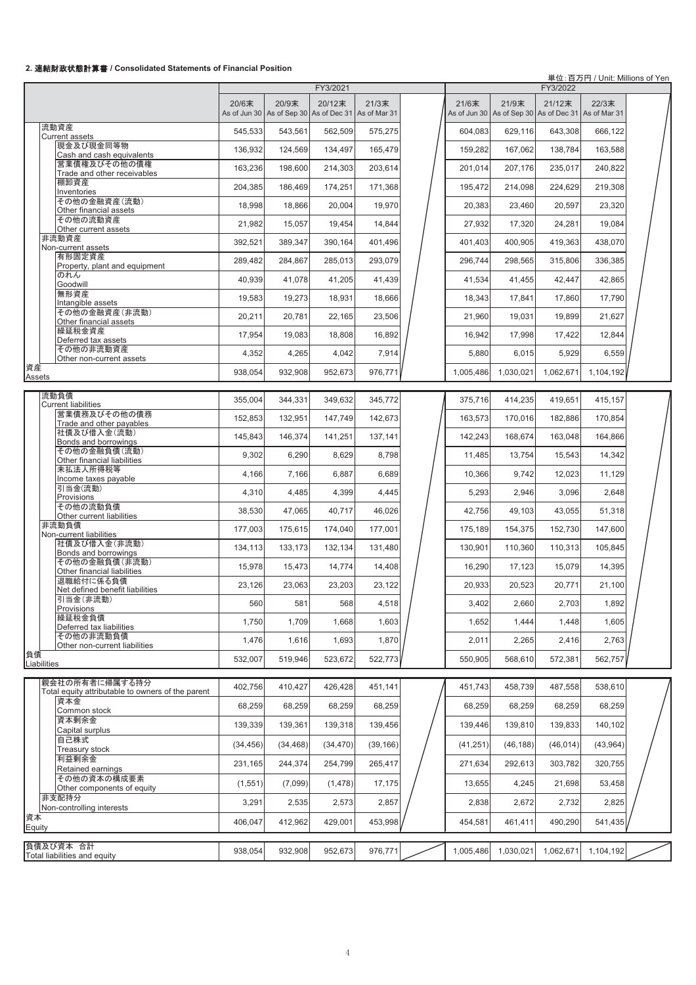## **2.** 㐃⤖㈈ᨻ≧ែィ⟬᭩ **/ Consolidated Statements of Financial Position**

単位:百万円 / Unit: Millions of Yen

|                                                                     |           |                                                              | FY3/2021  |           |           |                                                              | FY3/2022  |           |  |
|---------------------------------------------------------------------|-----------|--------------------------------------------------------------|-----------|-----------|-----------|--------------------------------------------------------------|-----------|-----------|--|
|                                                                     | 20/6末     | 20/9末<br>As of Jun 30 As of Sep 30 As of Dec 31 As of Mar 31 | 20/12末    | 21/3末     | 21/6末     | 21/9末<br>As of Jun 30 As of Sep 30 As of Dec 31 As of Mar 31 | 21/12末    | 22/3末     |  |
| 流動資産                                                                | 545,533   | 543,561                                                      | 562,509   | 575,275   | 604,083   | 629,116                                                      | 643,308   | 666,122   |  |
| <b>Current assets</b><br>現金及び現金同等物                                  | 136,932   | 124,569                                                      | 134,497   | 165,479   | 159,282   | 167,062                                                      | 138,784   | 163,588   |  |
| Cash and cash equivalents<br>営業債権及びその他の債権                           | 163,236   | 198,600                                                      | 214.303   | 203,614   | 201,014   | 207.176                                                      | 235,017   | 240,822   |  |
| Trade and other receivables<br>棚卸資産                                 |           |                                                              |           |           |           |                                                              |           |           |  |
| Inventories<br>その他の金融資産(流動)                                         | 204,385   | 186,469                                                      | 174,251   | 171,368   | 195,472   | 214,098                                                      | 224,629   | 219,308   |  |
| Other financial assets                                              | 18,998    | 18,866                                                       | 20,004    | 19,970    | 20,383    | 23,460                                                       | 20,597    | 23,320    |  |
| その他の流動資産<br>Other current assets                                    | 21,982    | 15,057                                                       | 19,454    | 14,844    | 27,932    | 17,320                                                       | 24,281    | 19,084    |  |
| 非流動資産<br>Non-current assets                                         | 392,521   | 389,347                                                      | 390,164   | 401,496   | 401,403   | 400,905                                                      | 419,363   | 438,070   |  |
| 有形固定資産<br>Property, plant and equipment                             | 289,482   | 284,867                                                      | 285,013   | 293,079   | 296,744   | 298,565                                                      | 315,806   | 336,385   |  |
| のれん<br>Goodwill                                                     | 40,939    | 41,078                                                       | 41,205    | 41,439    | 41,534    | 41,455                                                       | 42,447    | 42,865    |  |
| 無形資産                                                                | 19,583    | 19,273                                                       | 18,931    | 18,666    | 18,343    | 17,841                                                       | 17,860    | 17,790    |  |
| Intangible assets<br>その他の金融資産(非流動)                                  | 20,211    | 20,781                                                       | 22,165    | 23,506    | 21,960    | 19,031                                                       | 19,899    | 21,627    |  |
| Other financial assets<br>繰延税金資産                                    |           |                                                              |           |           |           |                                                              |           |           |  |
| Deferred tax assets<br>その他の非流動資産                                    | 17,954    | 19,083                                                       | 18.808    | 16,892    | 16,942    | 17.998                                                       | 17,422    | 12,844    |  |
| Other non-current assets                                            | 4,352     | 4,265                                                        | 4,042     | 7,914     | 5,880     | 6,015                                                        | 5,929     | 6,559     |  |
| 資産<br>Assets                                                        | 938,054   | 932,908                                                      | 952,673   | 976,771   | 1.005.486 | 1,030,021                                                    | 1,062,671 | 1,104,192 |  |
| 流動負債<br><b>Current liabilities</b>                                  | 355,004   | 344,331                                                      | 349.632   | 345,772   | 375,716   | 414,235                                                      | 419,651   | 415,157   |  |
| 営業債務及びその他の債務<br>Trade and other payables                            | 152.853   | 132,951                                                      | 147,749   | 142,673   | 163,573   | 170,016                                                      | 182,886   | 170,854   |  |
| 社債及び借入金(流動)                                                         | 145,843   | 146,374                                                      | 141,251   | 137,141   | 142,243   | 168,674                                                      | 163,048   | 164,866   |  |
| Bonds and borrowings<br>その他の金融負債(流動)                                | 9,302     | 6,290                                                        | 8,629     | 8,798     | 11,485    | 13,754                                                       | 15,543    | 14,342    |  |
| Other financial liabilities<br>未払法人所得税等                             | 4,166     | 7,166                                                        | 6,887     | 6,689     | 10,366    | 9,742                                                        | 12,023    | 11,129    |  |
| Income taxes payable<br>引当金(流動)                                     |           |                                                              |           |           |           |                                                              |           |           |  |
| Provisions<br>その他の流動負債                                              | 4,310     | 4,485                                                        | 4,399     | 4,445     | 5,293     | 2,946                                                        | 3,096     | 2,648     |  |
| Other current liabilities                                           | 38,530    | 47,065                                                       | 40,717    | 46,026    | 42,756    | 49,103                                                       | 43,055    | 51,318    |  |
| 非流動負債<br>Non-current liabilities                                    | 177,003   | 175,615                                                      | 174,040   | 177,001   | 175,189   | 154,375                                                      | 152,730   | 147,600   |  |
| 社債及び借入金(非流動)<br>Bonds and borrowings                                | 134,113   | 133,173                                                      | 132,134   | 131,480   | 130,901   | 110,360                                                      | 110,313   | 105,845   |  |
| その他の金融負債(非流動)<br>Other financial liabilities                        | 15,978    | 15,473                                                       | 14,774    | 14,408    | 16,290    | 17,123                                                       | 15,079    | 14,395    |  |
| 退職給付に係る負債                                                           | 23,126    | 23,063                                                       | 23,203    | 23,122    | 20,933    | 20,523                                                       | 20,771    | 21,100    |  |
| Net defined benefit liabilities<br>引当金(非流動)                         | 560       | 581                                                          | 568       | 4,518     | 3,402     | 2,660                                                        | 2,703     | 1,892     |  |
| Provisions<br>繰延税金負債                                                |           |                                                              |           | 1,603     |           | 1,444                                                        |           |           |  |
| Deferred tax liabilities<br>その他の非流動負債                               | 1,750     | 1,709                                                        | 1,668     |           | 1,652     |                                                              | 1,448     | 1,605     |  |
| Other non-current liabilities                                       | 1,476     | 1,616                                                        | 1,693     | 1,870     | 2,011     | 2,265                                                        | 2,416     | 2,763     |  |
| 負債<br>Liabilities                                                   | 532,007   | 519,946                                                      | 523,672   | 522,773   | 550,905   | 568,610                                                      | 572,381   | 562,757   |  |
| 親会社の所有者に帰属する持分<br>Total equity attributable to owners of the parent | 402,756   | 410,427                                                      | 426,428   | 451,141   | 451.743   | 458,739                                                      | 487,558   | 538,610   |  |
| 資本金                                                                 | 68,259    | 68,259                                                       | 68,259    | 68,259    | 68,259    | 68,259                                                       | 68,259    | 68,259    |  |
| Common stock<br>資本剰余金                                               | 139,339   | 139,361                                                      | 139,318   | 139,456   | 139,446   | 139,810                                                      | 139,833   | 140,102   |  |
| Capital surplus<br>自己株式                                             | (34, 456) | (34, 468)                                                    | (34, 470) | (39, 166) | (41, 251) | (46, 188)                                                    | (46, 014) | (43,964)  |  |
| Treasury stock<br>利益剰余金                                             | 231,165   | 244,374                                                      | 254,799   | 265,417   | 271,634   | 292,613                                                      | 303,782   | 320,755   |  |
| Retained earnings<br>その他の資本の構成要素                                    | (1,551)   | (7,099)                                                      | (1, 478)  | 17,175    | 13,655    | 4,245                                                        | 21,698    | 53,458    |  |
| Other components of equity<br>非支配持分                                 | 3,291     | 2,535                                                        | 2,573     | 2,857     | 2,838     | 2,672                                                        | 2,732     | 2,825     |  |
| Non-controlling interests<br>資本                                     |           |                                                              |           |           |           |                                                              |           |           |  |
| Equity                                                              | 406,047   | 412,962                                                      | 429,001   | 453,998   | 454,581   | 461,411                                                      | 490,290   | 541,435   |  |
| 負債及び資本 合計                                                           | 938,054   | 932,908                                                      | 952,673   | 976,771   | 1,005,486 | 1,030,021                                                    | 1,062,671 | 1,104,192 |  |
| Total liabilities and equity                                        |           |                                                              |           |           |           |                                                              |           |           |  |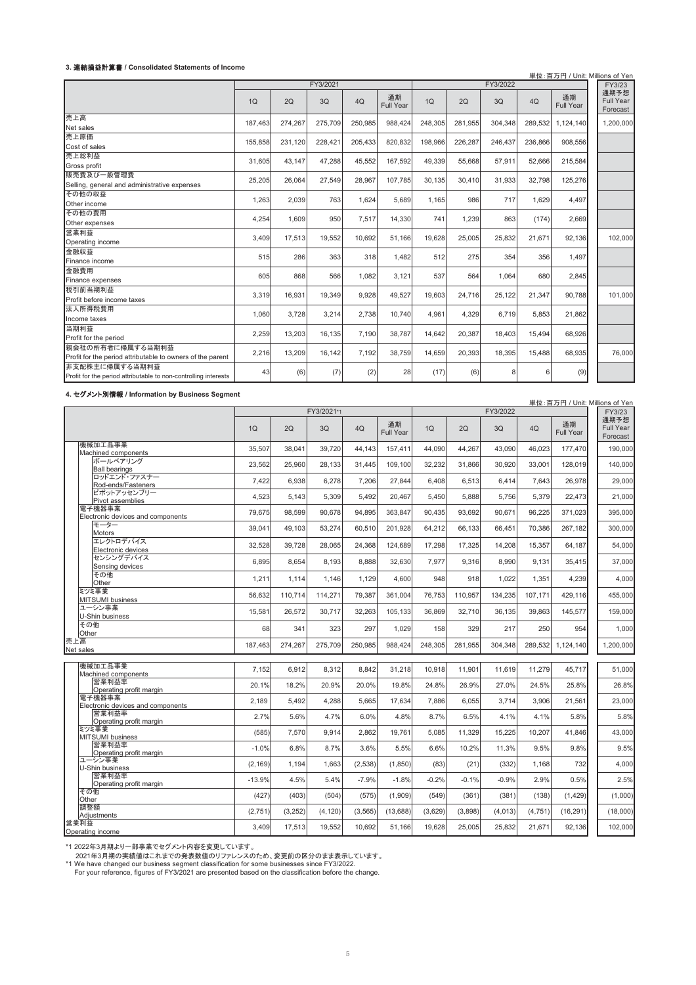#### **3.** 㐃⤖ᦆ┈ィ⟬᭩ **/ Consolidated Statements of Income**

|                                                                                   |         |         |          |         |                 |         |         |          |         | 単位:百万円 / Unit: Millions of Yen |                               |
|-----------------------------------------------------------------------------------|---------|---------|----------|---------|-----------------|---------|---------|----------|---------|--------------------------------|-------------------------------|
|                                                                                   |         |         | FY3/2021 |         |                 |         |         | FY3/2022 |         |                                | FY3/23                        |
|                                                                                   | 1Q      | 2Q      | 3Q       | 4Q      | 通期<br>Full Year | 1Q      | 2Q      | 3Q       | 4Q      | 通期<br>Full Year                | 通期予想<br>Full Year<br>Forecast |
| 売上高<br>Net sales                                                                  | 187.463 | 274.267 | 275.709  | 250.985 | 988.424         | 248.305 | 281.955 | 304.348  | 289.532 | 1.124.140                      | 1,200,000                     |
| 売上原価<br>Cost of sales                                                             | 155,858 | 231,120 | 228,421  | 205,433 | 820,832         | 198,966 | 226,287 | 246,437  | 236,866 | 908,556                        |                               |
| 売上総利益<br>Gross profit                                                             | 31.605  | 43.147  | 47,288   | 45,552  | 167,592         | 49,339  | 55.668  | 57,911   | 52,666  | 215,584                        |                               |
| 販売費及び一般管理費<br>Selling, general and administrative expenses                        | 25,205  | 26,064  | 27,549   | 28,967  | 107,785         | 30,135  | 30,410  | 31,933   | 32,798  | 125,276                        |                               |
| その他の収益<br>Other income                                                            | 1,263   | 2,039   | 763      | 1,624   | 5,689           | 1.165   | 986     | 717      | 1.629   | 4,497                          |                               |
| その他の費用<br>Other expenses                                                          | 4,254   | 1,609   | 950      | 7,517   | 14,330          | 741     | 1,239   | 863      | (174)   | 2,669                          |                               |
| 営業利益<br>Operating income                                                          | 3,409   | 17,513  | 19,552   | 10.692  | 51.166          | 19.628  | 25,005  | 25,832   | 21.671  | 92.136                         | 102,000                       |
| 金融収益<br>Finance income                                                            | 515     | 286     | 363      | 318     | 1,482           | 512     | 275     | 354      | 356     | 1,497                          |                               |
| 金融費用<br>Finance expenses                                                          | 605     | 868     | 566      | 1,082   | 3,121           | 537     | 564     | 1,064    | 680     | 2,845                          |                               |
| 税引前当期利益<br>Profit before income taxes                                             | 3,319   | 16,931  | 19,349   | 9,928   | 49,527          | 19,603  | 24,716  | 25,122   | 21,347  | 90,788                         | 101,000                       |
| 法人所得税費用<br>Income taxes                                                           | 1,060   | 3,728   | 3,214    | 2,738   | 10,740          | 4,961   | 4,329   | 6,719    | 5,853   | 21,862                         |                               |
| 当期利益<br>Profit for the period                                                     | 2,259   | 13,203  | 16,135   | 7,190   | 38,787          | 14,642  | 20,387  | 18,403   | 15,494  | 68,926                         |                               |
| 親会社の所有者に帰属する当期利益<br>Profit for the period attributable to owners of the parent    | 2,216   | 13,209  | 16,142   | 7,192   | 38,759          | 14,659  | 20,393  | 18,395   | 15,488  | 68,935                         | 76,000                        |
| 非支配株主に帰属する当期利益<br>Profit for the period attributable to non-controlling interests | 43      | (6)     | (7)      | (2)     | 28              | (17)    | (6)     | 8        | 6       | (9)                            |                               |

**4.** 䝉䜾䝯䞁䝖ูሗ **/ Information by Business Segment**

|     | 4. センメント別情報 / Information by Business Segment |          |          |            |          |                 |         |         |          |          | 単位:百万円 / Unit: Millions of Yen |                               |
|-----|-----------------------------------------------|----------|----------|------------|----------|-----------------|---------|---------|----------|----------|--------------------------------|-------------------------------|
|     |                                               |          |          | FY3/2021*1 |          |                 |         |         | FY3/2022 |          |                                | FY3/23                        |
|     |                                               | 1Q       | 2Q       | 3Q         | 4Q       | 通期<br>Full Year | 1Q      | 2Q      | 3Q       | 4Q       | 通期<br>Full Year                | 通期予想<br>Full Year<br>Forecast |
|     | 機械加工品事業<br>Machined components                | 35,507   | 38.041   | 39.720     | 44.143   | 157,411         | 44.090  | 44.267  | 43.090   | 46.023   | 177.470                        | 190,000                       |
|     | ボールベアリング<br><b>Ball bearings</b>              | 23,562   | 25.960   | 28,133     | 31.445   | 109.100         | 32,232  | 31,866  | 30,920   | 33.001   | 128.019                        | 140,000                       |
|     | ロッドエンド・ファスナー<br>Rod-ends/Fasteners            | 7,422    | 6,938    | 6,278      | 7,206    | 27.844          | 6,408   | 6,513   | 6,414    | 7.643    | 26,978                         | 29,000                        |
|     | ピボットアッセンブリー<br>Pivot assemblies               | 4.523    | 5.143    | 5.309      | 5.492    | 20.467          | 5.450   | 5.888   | 5.756    | 5.379    | 22.473                         | 21,000                        |
|     | 電子機器事業<br>Electronic devices and components   | 79.675   | 98.599   | 90.678     | 94.895   | 363.847         | 90.435  | 93.692  | 90.671   | 96.225   | 371.023                        | 395.000                       |
|     | モーター<br><b>Motors</b>                         | 39,041   | 49.103   | 53,274     | 60.510   | 201.928         | 64.212  | 66.133  | 66.451   | 70.386   | 267.182                        | 300,000                       |
|     | エレクトロデバイス<br>Electronic devices               | 32,528   | 39.728   | 28.065     | 24,368   | 124.689         | 17,298  | 17,325  | 14,208   | 15.357   | 64.187                         | 54,000                        |
|     | センシングデバイス<br>Sensing devices                  | 6,895    | 8,654    | 8,193      | 8,888    | 32,630          | 7,977   | 9,316   | 8,990    | 9,131    | 35,415                         | 37,000                        |
|     | その他<br>Other                                  | 1,211    | 1.114    | 1.146      | 1.129    | 4.600           | 948     | 918     | 1.022    | 1,351    | 4.239                          | 4,000                         |
|     | ミツミ事業<br><b>MITSUMI</b> business              | 56.632   | 110.714  | 114,271    | 79.387   | 361.004         | 76.753  | 110.957 | 134,235  | 107.171  | 429.116                        | 455.000                       |
|     | ユーシン事業                                        | 15,581   | 26,572   | 30,717     | 32,263   | 105,133         | 36,869  | 32,710  | 36,135   | 39,863   | 145,577                        | 159,000                       |
|     | U-Shin business<br>その他                        | 68       | 341      | 323        | 297      | 1,029           | 158     | 329     | 217      | 250      | 954                            | 1,000                         |
| 売上高 | Other                                         | 187,463  | 274,267  | 275,709    | 250,985  | 988,424         | 248,305 | 281.955 | 304,348  | 289,532  | 1.124.140                      | 1,200,000                     |
|     | Net sales                                     |          |          |            |          |                 |         |         |          |          |                                |                               |
|     | 機械加工品事業<br>Machined components                | 7,152    | 6,912    | 8,312      | 8,842    | 31,218          | 10,918  | 11,901  | 11,619   | 11,279   | 45,717                         | 51,000                        |
|     | 営業利益率<br>Operating profit margin              | 20.1%    | 18.2%    | 20.9%      | 20.0%    | 19.8%           | 24.8%   | 26.9%   | 27.0%    | 24.5%    | 25.8%                          | 26.8%                         |
|     | 雷子機器事業<br>Electronic devices and components   | 2.189    | 5.492    | 4,288      | 5.665    | 17,634          | 7.886   | 6,055   | 3.714    | 3,906    | 21,561                         | 23,000                        |
|     | 営業利益率<br>Operating profit margin              | 2.7%     | 5.6%     | 4.7%       | 6.0%     | 4.8%            | 8.7%    | 6.5%    | 4.1%     | 4.1%     | 5.8%                           | 5.8%                          |
|     | ミツミ事業<br>MITSUMI business                     | (585)    | 7,570    | 9.914      | 2,862    | 19.761          | 5,085   | 11,329  | 15,225   | 10,207   | 41,846                         | 43,000                        |
|     | 営業利益率<br>Operating profit margin              | $-1.0%$  | 6.8%     | 8.7%       | 3.6%     | 5.5%            | 6.6%    | 10.2%   | 11.3%    | 9.5%     | 9.8%                           | 9.5%                          |
|     | ユーシン事業<br>U-Shin business                     | (2, 169) | 1.194    | 1.663      | (2,538)  | (1.850)         | (83)    | (21)    | (332)    | 1.168    | 732                            | 4,000                         |
|     | 営業利益率<br>Operating profit margin              | $-13.9%$ | 4.5%     | 5.4%       | $-7.9%$  | $-1.8%$         | $-0.2%$ | $-0.1%$ | $-0.9%$  | 2.9%     | 0.5%                           | 2.5%                          |
|     | その他<br>Other                                  | (427)    | (403)    | (504)      | (575)    | (1,909)         | (549)   | (361)   | (381)    | (138)    | (1, 429)                       | (1,000)                       |
|     | 調整額<br>Adjustments                            | (2,751)  | (3, 252) | (4, 120)   | (3, 565) | (13, 688)       | (3,629) | (3,898) | (4,013)  | (4, 751) | (16, 291)                      | (18,000)                      |
|     | 営業利益<br>Operating income                      | 3,409    | 17,513   | 19,552     | 10,692   | 51,166          | 19,628  | 25,005  | 25,832   | 21,671   | 92,136                         | 102,000                       |

\*1 2022年3月期より一部事業でセグメント内容を変更しています。<br>- 2021年3月期の実績値はこれまでの発表数値のリファレンスのため、変更前の区分のまま表示しています。<br>\*1 We have changed our business segment classification for some businesses since FY3/2022.<br>- For your reference, figures of FY3/2021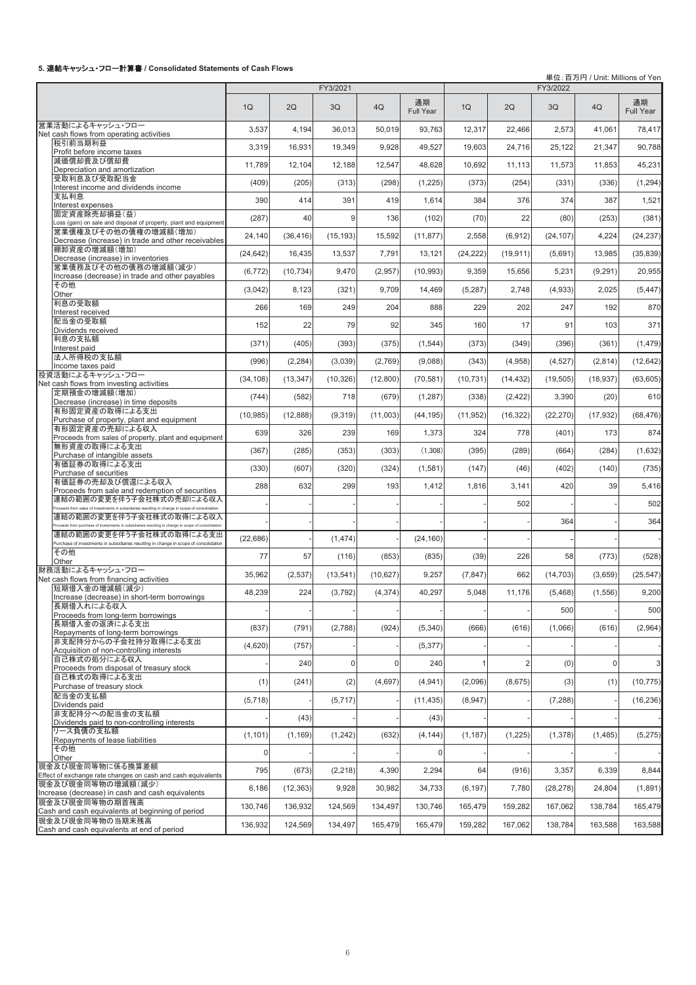#### **5.** 㐃⤖䜻䝱䝑䝅䝳䞉䝣䝻䞊ィ⟬᭩ **/ Consolidated Statements of Cash Flows**

'n

༢䠖ⓒ / Unit: Millions of Yen

|                                                                                                                                |              |           | FY3/2021    |                |                        |           |                | FY3/2022  |                |                 |
|--------------------------------------------------------------------------------------------------------------------------------|--------------|-----------|-------------|----------------|------------------------|-----------|----------------|-----------|----------------|-----------------|
|                                                                                                                                | 1Q           | 2Q        | 3Q          | 4Q             | 通期<br><b>Full Year</b> | 1Q        | 2Q             | 3Q        | 4Q             | 通期<br>Full Year |
| 営業活動によるキャッシュ・フロー<br>Net cash flows from operating activities                                                                   | 3,537        | 4,194     | 36,013      | 50,019         | 93,763                 | 12,317    | 22,466         | 2,573     | 41,061         | 78,417          |
| 税引前当期利益                                                                                                                        | 3,319        | 16,931    | 19,349      | 9,928          | 49,527                 | 19,603    | 24,716         | 25,122    | 21,347         | 90,788          |
| Profit before income taxes<br>減価償却費及び償却費                                                                                       | 11,789       | 12,104    | 12.188      | 12,547         | 48,628                 | 10,692    | 11,113         | 11,573    | 11,853         | 45,231          |
| Depreciation and amortization<br>受取利息及び受取配当金                                                                                   |              |           |             |                |                        |           |                |           |                |                 |
| Interest income and dividends income<br>支払利息                                                                                   | (409)        | (205)     | (313)       | (298)          | (1,225)                | (373)     | (254)          | (331)     | (336)          | (1, 294)        |
| Interest expenses                                                                                                              | 390          | 414       | 391         | 419            | 1,614                  | 384       | 376            | 374       | 387            | 1,521           |
| 固定資産除売却損益(益)<br>Loss (gain) on sale and disposal of property, plant and equipment                                              | (287)        | 40        | 9           | 136            | (102)                  | (70)      | 22             | (80)      | (253)          | (381)           |
| 営業債権及びその他の債権の増減額(増加)<br>Decrease (increase) in trade and other receivables                                                     | 24,140       | (36, 416) | (15, 193)   | 15,592         | (11, 877)              | 2,558     | (6, 912)       | (24, 107) | 4,224          | (24, 237)       |
| 棚卸資産の増減額(増加)<br>Decrease (increase) in inventories                                                                             | (24, 642)    | 16,435    | 13,537      | 7,791          | 13,121                 | (24, 222) | (19, 911)      | (5,691)   | 13,985         | (35, 839)       |
| 営業債務及びその他の債務の増減額(減少)                                                                                                           | (6, 772)     | (10, 734) | 9,470       | (2,957)        | (10, 993)              | 9,359     | 15,656         | 5,231     | (9, 291)       | 20,955          |
| Increase (decrease) in trade and other payables<br>その他                                                                         | (3,042)      | 8,123     | (321)       | 9,709          | 14,469                 | (5,287)   | 2,748          | (4,933)   | 2,025          | (5, 447)        |
| Other<br>利息の受取額                                                                                                                |              |           |             |                |                        |           |                |           |                |                 |
| Interest received<br>配当金の受取額                                                                                                   | 266          | 169       | 249         | 204            | 888                    | 229       | 202            | 247       | 192            | 870             |
| Dividends received                                                                                                             | 152          | 22        | 79          | 92             | 345                    | 160       | 17             | 91        | 103            | 371             |
| 利息の支払額<br>Interest paid                                                                                                        | (371)        | (405)     | (393)       | (375)          | (1, 544)               | (373)     | (349)          | (396)     | (361)          | (1, 479)        |
| 法人所得税の支払額<br>Income taxes paid                                                                                                 | (996)        | (2, 284)  | (3,039)     | (2,769)        | (9,088)                | (343)     | (4,958)        | (4, 527)  | (2,814)        | (12, 642)       |
| 投資活動によるキャッシュ・フロー                                                                                                               | (34, 108)    | (13, 347) | (10, 326)   | (12,800)       | (70, 581)              | (10, 731) | (14, 432)      | (19, 505) | (18, 937)      | (63, 605)       |
| Net cash flows from investing activities<br>定期預金の増減額(増加)                                                                       | (744)        | (582)     | 718         | (679)          | (1, 287)               | (338)     | (2, 422)       | 3,390     | (20)           | 610             |
| Decrease (increase) in time deposits<br>有形固定資産の取得による支出                                                                         |              |           | (9,319)     |                |                        |           | (16, 322)      |           |                |                 |
| Purchase of property, plant and equipment<br>有形固定資産の売却による収入                                                                    | (10, 985)    | (12, 888) |             | (11,003)       | (44, 195)              | (11, 952) |                | (22, 270) | (17, 932)      | (68, 476)       |
| Proceeds from sales of property, plant and equipment                                                                           | 639          | 326       | 239         | 169            | 1,373                  | 324       | 778            | (401)     | 173            | 874             |
| 無形資産の取得による支出<br>Purchase of intangible assets                                                                                  | (367)        | (285)     | (353)       | (303)          | (1,308)                | (395)     | (289)          | (664)     | (284)          | (1,632)         |
| 有価証券の取得による支出<br>Purchase of securities                                                                                         | (330)        | (607)     | (320)       | (324)          | (1,581)                | (147)     | (46)           | (402)     | (140)          | (735)           |
| 有価証券の売却及び償還による収入<br>Proceeds from sale and redemption of securities                                                            | 288          | 632       | 299         | 193            | 1,412                  | 1,816     | 3,141          | 420       | 39             | 5,416           |
| 連結の範囲の変更を伴う子会社株式の売却による収入<br>roceeds from sales of investments in subsidiaries resulting in change in scope of consolidation    |              |           |             |                |                        |           | 502            |           |                | 502             |
| 連結の範囲の変更を伴う子会社株式の取得による収入<br>roceeds from purchase of investments in subsidiaries resulting in change in scope of consolidation |              |           |             |                |                        |           |                | 364       |                | 364             |
| 連結の範囲の変更を伴う子会社株式の取得による支出                                                                                                       | (22, 686)    |           | (1, 474)    |                | (24, 160)              |           |                |           |                |                 |
| Purchase of investments in subsidiaries resulting in change in scope of consolidation<br>その他                                   | 77           | 57        | (116)       | (853)          | (835)                  | (39)      | 226            | 58        | (773)          | (528)           |
| Other<br>財務活動によるキャッシュ・フロー                                                                                                      |              |           |             |                |                        |           |                |           |                |                 |
| Net cash flows from financing activities                                                                                       | 35,962       | (2,537)   | (13, 541)   | (10,627)       | 9,257                  | (7, 847)  | 662            | (14, 703) | (3,659)        | (25, 547)       |
| 短期借入金の増減額(減少)<br>Increase (decrease) in short-term borrowings                                                                  | 48,239       | 224       | (3,792)     | (4, 374)       | 40,297                 | 5,048     | 11,176         | (5, 468)  | (1, 556)       | 9,200           |
| 長期借入れによる収入<br>Proceeds from long-term borrowings                                                                               |              |           |             |                |                        |           |                | 500       |                | 500             |
| 長期借入金の返済による支出<br>Repayments of long-term borrowings                                                                            | (837)        | (791)     | (2,788)     | (924)          | (5, 340)               | (666)     | (616)          | (1,066)   | (616)          | (2,964)         |
| 非支配持分からの子会社持分取得による支出                                                                                                           | (4,620)      | (757)     |             |                | (5, 377)               |           |                |           |                |                 |
| Acquisition of non-controlling interests<br>自己株式の処分による収入                                                                       |              | 240       | $\mathbf 0$ | $\overline{0}$ | 240                    |           | $\overline{2}$ | (0)       | $\overline{0}$ | 3               |
| Proceeds from disposal of treasury stock<br>自己株式の取得による支出                                                                       |              |           |             |                |                        |           |                |           |                |                 |
| Purchase of treasury stock<br>配当金の支払額                                                                                          | (1)          | (241)     | (2)         | (4,697)        | (4,941)                | (2,096)   | (8,675)        | (3)       | (1)            | (10, 775)       |
| Dividends paid                                                                                                                 | (5,718)      |           | (5,717)     |                | (11, 435)              | (8,947)   |                | (7, 288)  |                | (16, 236)       |
| 非支配持分への配当金の支払額<br>Dividends paid to non-controlling interests                                                                  |              | (43)      |             |                | (43)                   |           |                |           |                |                 |
| リース負債の支払額<br>Repayments of lease liabilities                                                                                   | (1, 101)     | (1, 169)  | (1, 242)    | (632)          | (4, 144)               | (1, 187)  | (1,225)        | (1,378)   | (1,485)        | (5,275)         |
| その他<br>Other                                                                                                                   | $\mathbf{0}$ |           |             |                | $\Omega$               |           |                |           |                |                 |
| 現金及び現金同等物に係る換算差額<br>Effect of exchange rate changes on cash and cash equivalents                                               | 795          | (673)     | (2, 218)    | 4,390          | 2,294                  | 64        | (916)          | 3,357     | 6,339          | 8,844           |
| 現金及び現金同等物の増減額(減少)                                                                                                              | 6,186        | (12, 363) | 9,928       | 30,982         | 34,733                 | (6, 197)  | 7,780          | (28, 278) | 24,804         | (1,891)         |
| Increase (decrease) in cash and cash equivalents<br>現金及び現金同等物の期首残高                                                             | 130,746      | 136,932   | 124,569     | 134,497        | 130,746                | 165,479   | 159,282        | 167,062   | 138,784        | 165,479         |
| Cash and cash equivalents at beginning of period<br>現金及び現金同等物の当期末残高                                                            |              |           |             |                |                        |           |                |           |                |                 |
| Cash and cash equivalents at end of period                                                                                     | 136,932      | 124,569   | 134,497     | 165,479        | 165,479                | 159,282   | 167,062        | 138,784   | 163,588        | 163,588         |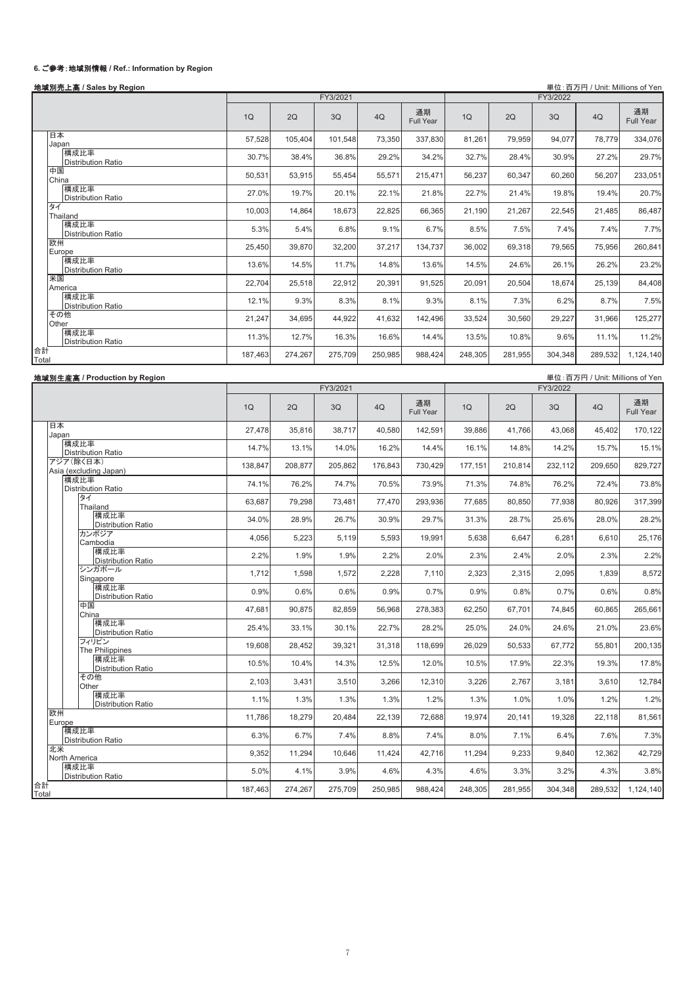# **6.** 䛤ཧ⪃䠖ᆅᇦูሗ **/ Ref.: Information by Region**

## ᆅᇦูୖ㧗 **/ Sales by Region** ༢䠖ⓒ / Unit: Millions of Yen

|                                   |         |         | FY3/2021 |         |                 |         |         | FY3/2022 |         |                 |
|-----------------------------------|---------|---------|----------|---------|-----------------|---------|---------|----------|---------|-----------------|
|                                   | 1Q      | 2Q      | 3Q       | 4Q      | 通期<br>Full Year | 1Q      | 2Q      | 3Q       | 4Q      | 通期<br>Full Year |
| 日本<br>Japan                       | 57,528  | 105,404 | 101,548  | 73,350  | 337,830         | 81,261  | 79,959  | 94,077   | 78,779  | 334,076         |
| 構成比率<br>Distribution Ratio        | 30.7%   | 38.4%   | 36.8%    | 29.2%   | 34.2%           | 32.7%   | 28.4%   | 30.9%    | 27.2%   | 29.7%           |
| 中国<br>China                       | 50,531  | 53,915  | 55,454   | 55,571  | 215,471         | 56,237  | 60,347  | 60,260   | 56,207  | 233,051         |
| 構成比率<br>Distribution Ratio        | 27.0%   | 19.7%   | 20.1%    | 22.1%   | 21.8%           | 22.7%   | 21.4%   | 19.8%    | 19.4%   | 20.7%           |
| タイ<br>Thailand                    | 10,003  | 14,864  | 18,673   | 22,825  | 66,365          | 21,190  | 21,267  | 22,545   | 21,485  | 86,487          |
| 構成比率<br>Distribution Ratio        | 5.3%    | 5.4%    | 6.8%     | 9.1%    | 6.7%            | 8.5%    | 7.5%    | 7.4%     | 7.4%    | 7.7%            |
| 欧州<br>Europe                      | 25,450  | 39,870  | 32,200   | 37,217  | 134,737         | 36,002  | 69,318  | 79,565   | 75,956  | 260,841         |
| 構成比率<br><b>Distribution Ratio</b> | 13.6%   | 14.5%   | 11.7%    | 14.8%   | 13.6%           | 14.5%   | 24.6%   | 26.1%    | 26.2%   | 23.2%           |
| 米国<br>America                     | 22,704  | 25,518  | 22,912   | 20,391  | 91,525          | 20,091  | 20,504  | 18,674   | 25,139  | 84,408          |
| 構成比率<br><b>Distribution Ratio</b> | 12.1%   | 9.3%    | 8.3%     | 8.1%    | 9.3%            | 8.1%    | 7.3%    | 6.2%     | 8.7%    | 7.5%            |
| その他<br>Other                      | 21,247  | 34,695  | 44,922   | 41,632  | 142,496         | 33,524  | 30,560  | 29,227   | 31,966  | 125,277         |
| 構成比率<br><b>Distribution Ratio</b> | 11.3%   | 12.7%   | 16.3%    | 16.6%   | 14.4%           | 13.5%   | 10.8%   | 9.6%     | 11.1%   | 11.2%           |
| 合計<br>Total                       | 187,463 | 274,267 | 275,709  | 250,985 | 988.424         | 248,305 | 281,955 | 304,348  | 289,532 | 1,124,140       |

| 地域別生産高 / Production by Region       |         |         |          |         |                 |         |         |          | 単位:百万円 / Unit: Millions of Yen |                 |
|-------------------------------------|---------|---------|----------|---------|-----------------|---------|---------|----------|--------------------------------|-----------------|
|                                     |         |         | FY3/2021 |         |                 |         |         | FY3/2022 |                                |                 |
|                                     | 1Q      | 2Q      | 3Q       | 4Q      | 通期<br>Full Year | 1Q      | 2Q      | 3Q       | 4Q                             | 通期<br>Full Year |
| 日本<br>Japan                         | 27,478  | 35,816  | 38,717   | 40,580  | 142,591         | 39,886  | 41,766  | 43,068   | 45,402                         | 170,122         |
| 構成比率<br><b>Distribution Ratio</b>   | 14.7%   | 13.1%   | 14.0%    | 16.2%   | 14.4%           | 16.1%   | 14.8%   | 14.2%    | 15.7%                          | 15.1%           |
| アジア(除く日本)<br>Asia (excluding Japan) | 138,847 | 208,877 | 205,862  | 176,843 | 730,429         | 177,151 | 210,814 | 232,112  | 209,650                        | 829.727         |
| 構成比率<br>Distribution Ratio          | 74.1%   | 76.2%   | 74.7%    | 70.5%   | 73.9%           | 71.3%   | 74.8%   | 76.2%    | 72.4%                          | 73.8%           |
| タイ<br>Thailand                      | 63.687  | 79.298  | 73,481   | 77,470  | 293.936         | 77,685  | 80,850  | 77.938   | 80,926                         | 317,399         |
| 構成比率<br><b>Distribution Ratio</b>   | 34.0%   | 28.9%   | 26.7%    | 30.9%   | 29.7%           | 31.3%   | 28.7%   | 25.6%    | 28.0%                          | 28.2%           |
| カンボジア<br>Cambodia                   | 4,056   | 5,223   | 5,119    | 5,593   | 19,991          | 5,638   | 6,647   | 6,281    | 6,610                          | 25,176          |
| 構成比率<br><b>Distribution Ratio</b>   | 2.2%    | 1.9%    | 1.9%     | 2.2%    | 2.0%            | 2.3%    | 2.4%    | 2.0%     | 2.3%                           | 2.2%            |
| シンガポール<br>Singapore                 | 1.712   | 1.598   | 1,572    | 2,228   | 7.110           | 2,323   | 2,315   | 2,095    | 1.839                          | 8,572           |
| 構成比率<br><b>Distribution Ratio</b>   | 0.9%    | 0.6%    | 0.6%     | 0.9%    | 0.7%            | 0.9%    | 0.8%    | 0.7%     | 0.6%                           | 0.8%            |
| 中国<br>China                         | 47.681  | 90,875  | 82,859   | 56,968  | 278,383         | 62,250  | 67.701  | 74,845   | 60,865                         | 265,661         |
| 構成比率<br><b>Distribution Ratio</b>   | 25.4%   | 33.1%   | 30.1%    | 22.7%   | 28.2%           | 25.0%   | 24.0%   | 24.6%    | 21.0%                          | 23.6%           |
| フィリピン<br>The Philippines            | 19.608  | 28,452  | 39,321   | 31,318  | 118,699         | 26,029  | 50,533  | 67,772   | 55,801                         | 200,135         |
| 構成比率<br><b>Distribution Ratio</b>   | 10.5%   | 10.4%   | 14.3%    | 12.5%   | 12.0%           | 10.5%   | 17.9%   | 22.3%    | 19.3%                          | 17.8%           |
| その他<br>Other                        | 2,103   | 3,431   | 3,510    | 3,266   | 12,310          | 3,226   | 2,767   | 3,181    | 3,610                          | 12,784          |
| 構成比率<br><b>Distribution Ratio</b>   | 1.1%    | 1.3%    | 1.3%     | 1.3%    | 1.2%            | 1.3%    | 1.0%    | 1.0%     | 1.2%                           | 1.2%            |
| 欧州<br>Europe                        | 11.786  | 18,279  | 20,484   | 22,139  | 72,688          | 19.974  | 20.141  | 19,328   | 22,118                         | 81,561          |
| 構成比率<br>Distribution Ratio          | 6.3%    | 6.7%    | 7.4%     | 8.8%    | 7.4%            | 8.0%    | 7.1%    | 6.4%     | 7.6%                           | 7.3%            |
| 北米<br>North America                 | 9,352   | 11,294  | 10,646   | 11,424  | 42,716          | 11,294  | 9,233   | 9,840    | 12,362                         | 42,729          |
| 構成比率<br>Distribution Ratio          | 5.0%    | 4.1%    | 3.9%     | 4.6%    | 4.3%            | 4.6%    | 3.3%    | 3.2%     | 4.3%                           | 3.8%            |
| 合計<br>Total                         | 187,463 | 274,267 | 275,709  | 250,985 | 988,424         | 248,305 | 281,955 | 304,348  | 289,532                        | 1,124,140       |